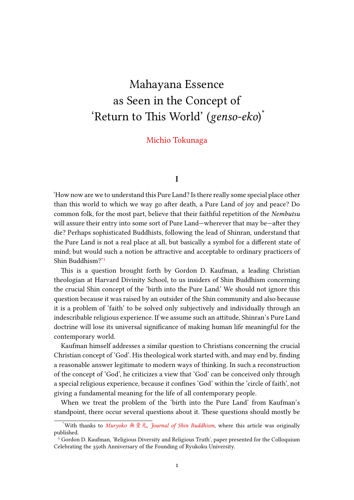# Mahayana Essence as Seen in the Concept of 'Return to This World' (*genso-eko*) \*

# Michio Tokunaga

#### **I**

'How now are we to understand this Pure Land? Is there really some special place other than this world to which we way go after death, a Pure Land of joy and peace? Do common folk, for the most part, believe that their faithful repetition of the *Nembutsu* will assure their entry into some sort of Pure Land—wherever that may be—after they die? Perhaps sophisticated Buddhists, following the lead of Shinran, understand that the Pure Land is not a real place at all, but basically a symbol for a different state of mind; but would such a notion be attractive and acceptable to ordinary practicers of Shin Buddhism?'<sup>1</sup>

This is a question brought forth by Gordon D. Kaufman, a leading Christian theologian at Harvard Divinity School, to us insiders of Shin Buddhism concerning the crucial Shin [co](#page-0-0)ncept of the 'birth into the Pure Land.' We should not ignore this question because it was raised by an outsider of the Shin community and also because it is a problem of 'faith' to be solved only subjectively and individually through an indescribable religious experience. If we assume such an attitude, Shinran's Pure Land doctrine will lose its universal significance of making human life meaningful for the contemporary world.

Kaufman himself addresses a similar question to Christians concerning the crucial Christian concept of 'God'. His theological work started with, and may end by, finding a reasonable answer legitimate to modern ways of thinking. In such a reconstruction of the concept of 'God', he criticizes a view that 'God' can be conceived only through a special religious experience, because it confines 'God' within the 'circle of faith', not giving a fundamental meaning for the life of all contemporary people.

When we treat the problem of the 'birth into the Pure Land' from Kaufman's standpoint, there occur several questions about it. These questions should mostly be

<sup>\*</sup>With thanks to *Muryoko* 無量光, *Journal of Shin Buddhism*, where this article was originally published.

<span id="page-0-0"></span><sup>&</sup>lt;sup>1</sup> Gordon D. Kaufman, 'Religious Diversity and Religious Truth', paper presented for the Colloquium Celebrating the 350th Anniversary of the Founding of Ryukoku University.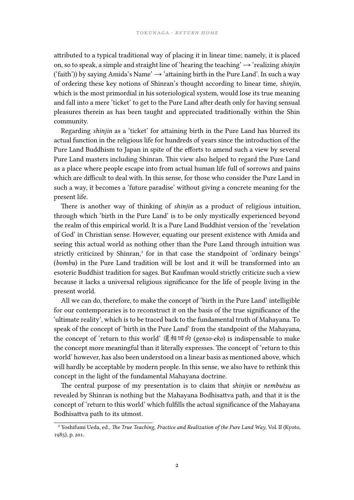attributed to a typical traditional way of placing it in linear time; namely, it is placed on, so to speak, a simple and straight line of 'hearing the teaching'→ 'realizing *shinjin* ('faith')) by saying Amida's Name'  $\rightarrow$  'attaining birth in the Pure Land'. In such a way of ordering these key notions of Shinran's thought according to linear time, *shinjin*, which is the most primordial in his soteriological system, would lose its true meaning and fall into a mere 'ticket' to get to the Pure Land after death only for having sensual pleasures therein as has been taught and appreciated traditionally within the Shin community.

Regarding *shinjin* as a 'ticket' for attaining birth in the Pure Land has blurred its actual function in the religious life for hundreds of years since the introduction of the Pure Land Buddhism to Japan in spite of the efforts to amend such a view by several Pure Land masters including Shinran. This view also helped to regard the Pure Land as a place where people escape into from actual human life full of sorrows and pains which are difficult to deal with. In this sense, for those who consider the Pure Land in such a way, it becomes a 'future paradise' without giving a concrete meaning for the present life.

There is another way of thinking of *shinjin* as a product of religious intuition, through which 'birth in the Pure Land' is to be only mystically experienced beyond the realm of this empirical world. It is a Pure Land Buddhist version of the 'revelation of God' in Christian sense. However, equating our present existence with Amida and seeing this actual world as nothing other than the Pure Land through intuition was strictly criticized by Shinran,<sup>2</sup> for in that case the standpoint of 'ordinary beings' (*bombu*) in the Pure Land tradition will be lost and it will be transformed into an esoteric Buddhist tradition for sages. But Kaufman would strictly criticize such a view because it lacks a universal r[el](#page-1-0)igious significance for the life of people living in the present world.

All we can do, therefore, to make the concept of 'birth in the Pure Land' intelligible for our contemporaries is to reconstruct it on the basis of the true significance of the 'ultimate reality', which is to be traced back to the fundamental truth of Mahayana. To speak of the concept of 'birth in the Pure Land' from the standpoint of the Mahayana, the concept of 'return to this world' 還相回向 (*genso-eko*) is indispensable to make the concept more meaningful than it literally expresses. The concept of 'return to this world' however, has also been understood on a linear basis as mentioned above, which will hardly be acceptable by modern people. In this sense, we also have to rethink this concept in the light of the fundamental Mahayana doctrine.

The central purpose of my presentation is to claim that *shinjin* or *nembutsu* as revealed by Shinran is nothing but the Mahayana Bodhisattva path, and that it is the concept of 'return to this world' which fulfills the actual significance of the Mahayana Bodhisattva path to its utmost.

<span id="page-1-0"></span>² Yoshifumi Ueda, ed., *The True Teaching, Practice and Realization of the Pure Land Way*, Vol. II (Kyoto, 1985), p. 201.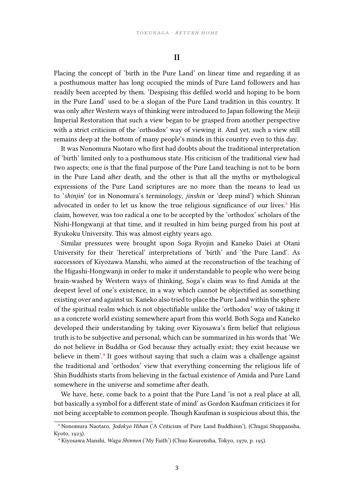### **II**

Placing the concept of 'birth in the Pure Land' on linear time and regarding it as a posthumous matter has long occupied the minds of Pure Land followers and has readily been accepted by them. 'Despising this defiled world and hoping to be born in the Pure Land' used to be a slogan of the Pure Land tradition in this country. It was only after Western ways of thinking were introduced to Japan following the Meiji Imperial Restoration that such a view began to be grasped from another perspective with a strict criticism of the 'orthodox' way of viewing it. And yet, such a view still remains deep at the bottom of many people's minds in this country even to this day.

It was Nonomura Naotaro who first had doubts about the traditional interpretation of 'birth' limited only to a posthumous state. His criticism of the traditional view had two aspects; one is that the final purpose of the Pure Land teaching is not to be born in the Pure Land after death, and the other is that all the myths or mythological expressions of the Pure Land scriptures are no more than the means to lead us to '*shinjin*' (or in Nonomura's terminology, *jinshin* or 'deep mind') which Shinran advocated in order to let us know the true religious significance of our lives.<sup>3</sup> His claim, however, was too radical a one to be accepted by the 'orthodox' scholars of the Nishi-Hongwanji at that time, and it resulted in him being purged from his post at Ryukoku University. This was almost eighty years ago.

Similar pressures were brought upon Soga Ryojin and Kaneko Daiei at Otani University for their 'heretical' interpretations of 'birth' and 'the Pure Land'. As successors of Kiyozawa Manshi, who aimed at the reconstruction of the teaching of the Higashi-Hongwanji in order to make it understandable to people who were being brain-washed by Western ways of thinking, Soga's claim was to find Amida at the deepest level of one's existence, in a way which cannot be objectified as something existing over and against us. Kaneko also tried to place the Pure Land within the sphere of the spiritual realm which is not objectifiable unlike the 'orthodox' way of taking it as a concrete world existing somewhere apart from this world. Both Soga and Kaneko developed their understanding by taking over Kiyosawa's firm belief that religious truth is to be subjective and personal, which can be summarized in his words that 'We do not believe in Buddha or God because they actually exist; they exist because we believe in them'.<sup>4</sup> It goes without saying that such a claim was a challenge against the traditional and 'orthodox' view that everything concerning the religious life of Shin Buddhists starts from believing in the factual existence of Amida and Pure Land somewhere in th[e](#page-2-0) universe and sometime after death.

We have, here, come back to a point that the Pure Land 'is not a real place at all, but basically a symbol for a different state of mind' as Gordon Kaufman criticizes it for not being acceptable to common people. Though Kaufman is suspicious about this, the

³ Nonomura Naotaro, *Jodokyo Hihan* ('A Criticism of Pure Land Buddhism'), (Chugai Shuppansha, Kyoto, 1923).

<span id="page-2-0"></span>⁴ Kiyosawa Manshi, *Waga Shinnen* ('My Faith') (Chuo Kouronsha, Tokyo, 1970, p. 195).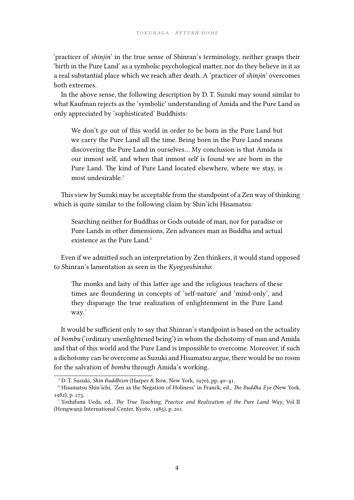'practicer of *shinjin*' in the true sense of Shinran's terminology, neither grasps their 'birth in the Pure Land' as a symbolic psychological matter, nor do they believe in it as a real substantial place which we reach after death. A 'practicer of *shinjin*' overcomes both extremes.

In the above sense, the following description by D. T. Suzuki may sound similar to what Kaufman rejects as the 'symbolic' understanding of Amida and the Pure Land as only appreciated by 'sophisticated' Buddhists:

We don't go out of this world in order to be born in the Pure Land but we carry the Pure Land all the time. Being born in the Pure Land means discovering the Pure Land in ourselves… My conclusion is that Amida is our inmost self, and when that inmost self is found we are born in the Pure Land. The kind of Pure Land located elsewhere, where we stay, is most undesirable.<sup>5</sup>

This view by Suzuki may be acceptable from the standpoint of a Zen way of thinking which is quite similar t[o](#page-3-0) the following claim by Shin'ichi Hisamatsu:

Searching neither for Buddhas or Gods outside of man, nor for paradise or Pure Lands in other dimensions, Zen advances man as Buddha and actual existence as the Pure Land.<sup>6</sup>

Even if we admitted such an interpretation by Zen thinkers, it would stand opposed to Shinran's lamentation as seen [in](#page-3-1) the *Kyogyoshinsho*:

The monks and laity of this latter age and the religious teachers of these times are floundering in concepts of 'self-nature' and 'mind-only', and they disparage the true realization of enlightenment in the Pure Land way.<sup>7</sup>

It would be sufficient only to say that Shinran's standpoint is based on the actuality of *bombu* (['o](#page-3-2)rdinary unenlightened being') in whom the dichotomy of man and Amida and that of this world and the Pure Land is impossible to overcome. Moreover, if such a dichotomy can be overcome as Suzuki and Hisamatsu argue, there would be no room for the salvation of *bombu* through Amida's working.

⁵ D. T. Suzuki, *Shin Buddhism* (Harper & Row, New York, 1970), pp. 40–41.

⁶ Hisamatsu Shin'ichi, 'Zen as the Negation of Holiness' in Franck, ed., *The Buddha Eye* (New York, 1982), p. 173.

<span id="page-3-2"></span><span id="page-3-1"></span><span id="page-3-0"></span>⁷ Yoshifumi Ueda, ed., *The True Teaching, Practice and Realization of the Pure Land Way*, Vol. II (Hongwanji International Center, Kyoto, 1985), p. 201.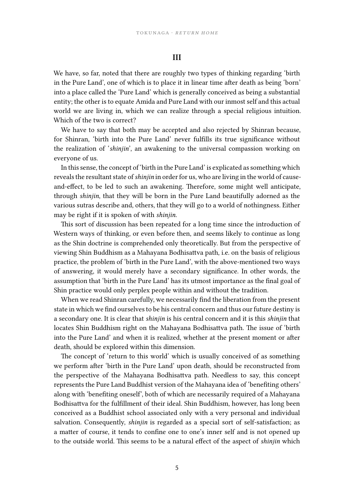## **III**

We have, so far, noted that there are roughly two types of thinking regarding 'birth in the Pure Land', one of which is to place it in linear time after death as being 'born' into a place called the 'Pure Land' which is generally conceived as being a substantial entity; the other is to equate Amida and Pure Land with our inmost self and this actual world we are living in, which we can realize through a special religious intuition. Which of the two is correct?

We have to say that both may be accepted and also rejected by Shinran because, for Shinran, 'birth into the Pure Land' never fulfills its true significance without the realization of '*shinjin*', an awakening to the universal compassion working on everyone of us.

In this sense, the concept of 'birth in the Pure Land' is explicated as something which reveals the resultant state of*shinjin* in order for us, who are living in the world of causeand-effect, to be led to such an awakening. Therefore, some might well anticipate, through *shinjin*, that they will be born in the Pure Land beautifully adorned as the various sutras describe and, others, that they will go to a world of nothingness. Either may be right if it is spoken of with *shinjin*.

This sort of discussion has been repeated for a long time since the introduction of Western ways of thinking, or even before then, and seems likely to continue as long as the Shin doctrine is comprehended only theoretically. But from the perspective of viewing Shin Buddhism as a Mahayana Bodhisattva path, i.e. on the basis of religious practice, the problem of 'birth in the Pure Land', with the above-mentioned two ways of answering, it would merely have a secondary significance. In other words, the assumption that 'birth in the Pure Land' has its utmost importance as the final goal of Shin practice would only perplex people within and without the tradition.

When we read Shinran carefully, we necessarily find the liberation from the present state in which we find ourselves to be his central concern and thus our future destiny is a secondary one. It is clear that *shinjin* is his central concern and it is this *shinjin* that locates Shin Buddhism right on the Mahayana Bodhisattva path. The issue of 'birth into the Pure Land' and when it is realized, whether at the present moment or after death, should be explored within this dimension.

The concept of 'return to this world' which is usually conceived of as something we perform after 'birth in the Pure Land' upon death, should be reconstructed from the perspective of the Mahayana Bodhisattva path. Needless to say, this concept represents the Pure Land Buddhist version of the Mahayana idea of 'benefiting others' along with 'benefiting oneself', both of which are necessarily required of a Mahayana Bodhisattva for the fulfillment of their ideal. Shin Buddhism, however, has long been conceived as a Buddhist school associated only with a very personal and individual salvation. Consequently, *shinjin* is regarded as a special sort of self-satisfaction; as a matter of course, it tends to confine one to one's inner self and is not opened up to the outside world. This seems to be a natural effect of the aspect of *shinjin* which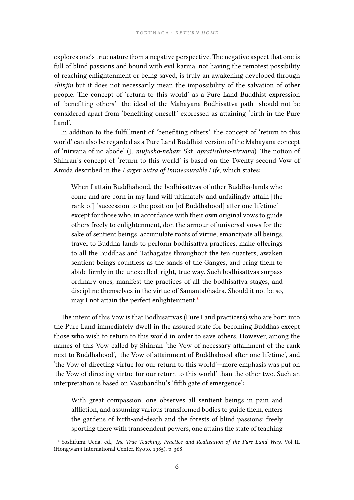explores one's true nature from a negative perspective. The negative aspect that one is full of blind passions and bound with evil karma, not having the remotest possibility of reaching enlightenment or being saved, is truly an awakening developed through *shinjin* but it does not necessarily mean the impossibility of the salvation of other people. The concept of 'return to this world' as a Pure Land Buddhist expression of 'benefiting others'—the ideal of the Mahayana Bodhisattva path—should not be considered apart from 'benefiting oneself' expressed as attaining 'birth in the Pure Land'.

In addition to the fulfillment of 'benefiting others', the concept of 'return to this world' can also be regarded as a Pure Land Buddhist version of the Mahayana concept of 'nirvana of no abode' (J. *mujusho-nehan*; Skt. *apratisthita-nirvana*). The notion of Shinran's concept of 'return to this world' is based on the Twenty-second Vow of Amida described in the *Larger Sutra of Immeasurable Life*, which states:

When I attain Buddhahood, the bodhisattvas of other Buddha-lands who come and are born in my land will ultimately and unfailingly attain [the rank of] 'succession to the position [of Buddhahood] after one lifetime' except for those who, in accordance with their own original vows to guide others freely to enlightenment, don the armour of universal vows for the sake of sentient beings, accumulate roots of virtue, emancipate all beings, travel to Buddha-lands to perform bodhisattva practices, make offerings to all the Buddhas and Tathagatas throughout the ten quarters, awaken sentient beings countless as the sands of the Ganges, and bring them to abide firmly in the unexcelled, right, true way. Such bodhisattvas surpass ordinary ones, manifest the practices of all the bodhisattva stages, and discipline themselves in the virtue of Samantabhadra. Should it not be so, may I not attain the perfect enlightenment.<sup>8</sup>

The intent of this Vow is that Bodhisattvas (Pure Land practicers) who are born into the Pure Land immediately dwell in the assured [s](#page-5-0)tate for becoming Buddhas except those who wish to return to this world in order to save others. However, among the names of this Vow called by Shinran 'the Vow of necessary attainment of the rank next to Buddhahood', 'the Vow of attainment of Buddhahood after one lifetime', and 'the Vow of directing virtue for our return to this world'—more emphasis was put on 'the Vow of directing virtue for our return to this world' than the other two. Such an interpretation is based on Vasubandhu's 'fifth gate of emergence':

With great compassion, one observes all sentient beings in pain and affliction, and assuming various transformed bodies to guide them, enters the gardens of birth-and-death and the forests of blind passions; freely sporting there with transcendent powers, one attains the state of teaching

<span id="page-5-0"></span>⁸ Yoshifumi Ueda, ed., *The True Teaching, Practice and Realization of the Pure Land Way*, Vol. III (Hongwanji International Center, Kyoto, 1985), p. 368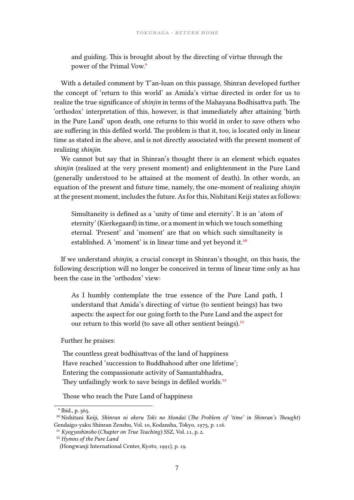and guiding. This is brought about by the directing of virtue through the power of the Primal Vow.<sup>9</sup>

With a detailed comment by T'an-luan on this passage, Shinran developed further the concept of 'return to this [w](#page-6-0)orld' as Amida's virtue directed in order for us to realize the true significance of *shinjin* in terms of the Mahayana Bodhisattva path. The 'orthodox' interpretation of this, however, is that immediately after attaining 'birth in the Pure Land' upon death, one returns to this world in order to save others who are suffering in this defiled world. The problem is that it, too, is located only in linear time as stated in the above, and is not directly associated with the present moment of realizing *shinjin*.

We cannot but say that in Shinran's thought there is an element which equates *shinjin* (realized at the very present moment) and enlightenment in the Pure Land (generally understood to be attained at the moment of death). In other words, an equation of the present and future time, namely, the one-moment of realizing *shinjin* at the present moment, includes the future. As for this, Nishitani Keiji states as follows:

Simultaneity is defined as a 'unity of time and eternity'. It is an 'atom of eternity' (Kierkegaard) in time, or a moment in which we touch something eternal. 'Present' and 'moment' are that on which such simultaneity is established. A 'moment' is in linear time and yet beyond it.<sup>10</sup>

If we understand *shinjin*, a crucial concept in Shinran's thought, on this basis, the following description will no longer be conceived in terms of lin[ea](#page-6-1)r time only as has been the case in the 'orthodox' view:

As I humbly contemplate the true essence of the Pure Land path, I understand that Amida's directing of virtue (to sentient beings) has two aspects: the aspect for our going forth to the Pure Land and the aspect for our return to this world (to save all other sentient beings).<sup>11</sup>

Further he praises:

The countless great bodhisattvas of the land of happiness Have reached 'succession to Buddhahood after one lifetime'; Entering the compassionate activity of Samantabhadra, They unfailingly work to save beings in defiled worlds.<sup>12</sup>

Those who reach the Pure Land of happiness

⁹ Ibid., p. 365.

¹⁰ Nishitani Keiji, *Shinran ni okeru Toki no Mondai* (*The Problem [of](#page-6-2) 'time' in Shinran's Thought*) Gendaigo-yaku Shinran Zenshu, Vol. 10, Kodansha, Tokyo, 1975, p. 116.

<sup>&</sup>lt;sup>11</sup> Kyogyoshinsho (*Chapter on True Teaching*) SSZ, Vol. 11, p. 2.

<span id="page-6-0"></span><sup>&</sup>lt;sup>12</sup> Hymns of the Pure Land

<span id="page-6-2"></span><span id="page-6-1"></span><sup>(</sup>Hongwanji International Center, Kyoto, 1991), p. 19.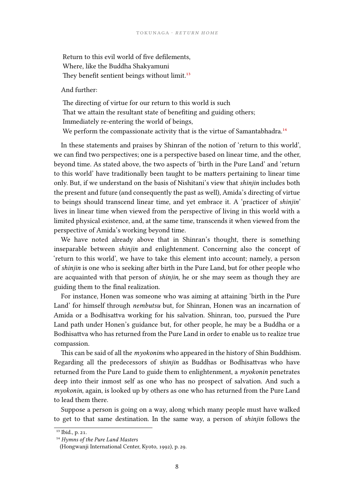Return to this evil world of five defilements, Where, like the Buddha Shakyamuni They benefit sentient beings without limit.<sup>13</sup>

#### And further:

The directing of virtue for our return to th[is](#page-7-0) world is such That we attain the resultant state of benefiting and guiding others; Immediately re-entering the world of beings, We perform the compassionate activity that is the virtue of Samantabhadra.<sup>14</sup>

In these statements and praises by Shinran of the notion of 'return to this world', we can find two perspectives; one is a perspective based on linear time, and the other, beyond time. As stated above, the two aspects of 'birth in the Pure Land' and'[re](#page-7-1)turn to this world' have traditionally been taught to be matters pertaining to linear time only. But, if we understand on the basis of Nishitani's view that *shinjin* includes both the present and future (and consequently the past as well), Amida's directing of virtue to beings should transcend linear time, and yet embrace it. A 'practicer of *shinjin*' lives in linear time when viewed from the perspective of living in this world with a limited physical existence, and, at the same time, transcends it when viewed from the perspective of Amida's working beyond time.

We have noted already above that in Shinran's thought, there is something inseparable between *shinjin* and enlightenment. Concerning also the concept of 'return to this world', we have to take this element into account; namely, a person of *shinjin* is one who is seeking after birth in the Pure Land, but for other people who are acquainted with that person of *shinjin*, he or she may seem as though they are guiding them to the final realization.

For instance, Honen was someone who was aiming at attaining 'birth in the Pure Land' for himself through *nembutsu* but, for Shinran, Honen was an incarnation of Amida or a Bodhisattva working for his salvation. Shinran, too, pursued the Pure Land path under Honen's guidance but, for other people, he may be a Buddha or a Bodhisattva who has returned from the Pure Land in order to enable us to realize true compassion.

This can be said of all the *myokonin*s who appeared in the history of Shin Buddhism. Regarding all the predecessors of *shinjin* as Buddhas or Bodhisattvas who have returned from the Pure Land to guide them to enlightenment, a *myokonin* penetrates deep into their inmost self as one who has no prospect of salvation. And such a *myokonin*, again, is looked up by others as one who has returned from the Pure Land to lead them there.

Suppose a person is going on a way, along which many people must have walked to get to that same destination. In the same way, a person of *shinjin* follows the

 $13$  Ibid., p. 21.

<sup>&</sup>lt;sup>14</sup> Hymns of the Pure Land Masters

<span id="page-7-1"></span><span id="page-7-0"></span><sup>(</sup>Hongwanji International Center, Kyoto, 1992), p. 29.